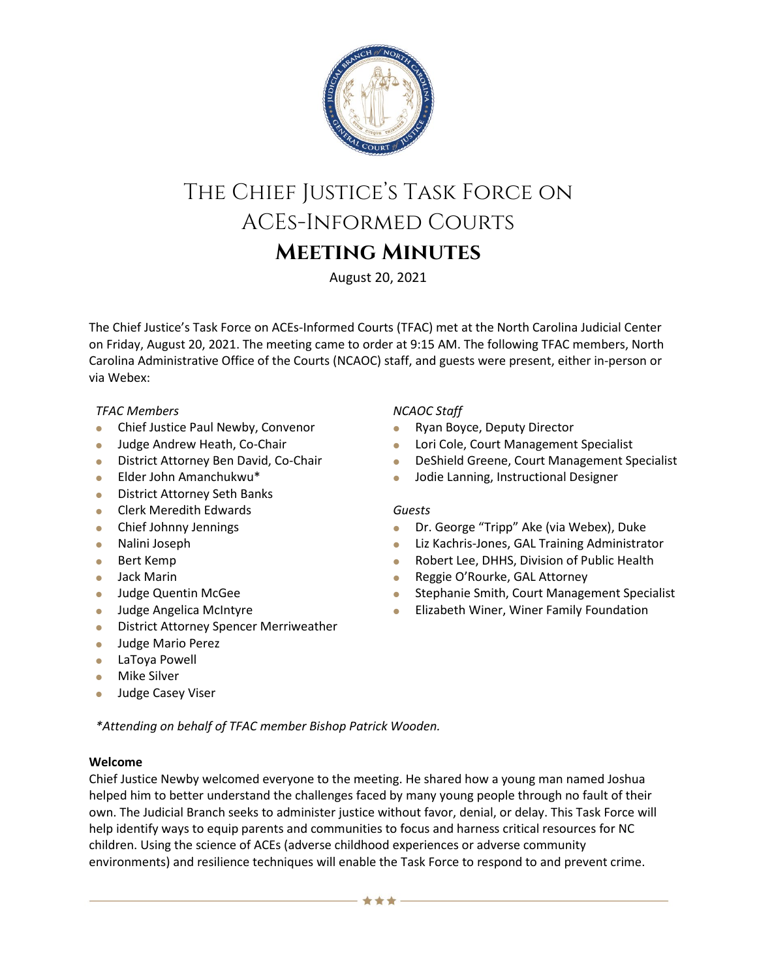

# The Chief Justice's Task Force on ACEs-Informed Courts **Meeting Minutes**

August 20, 2021

The Chief Justice's Task Force on ACEs-Informed Courts (TFAC) met at the North Carolina Judicial Center on Friday, August 20, 2021. The meeting came to order at 9:15 AM. The following TFAC members, North Carolina Administrative Office of the Courts (NCAOC) staff, and guests were present, either in-person or via Webex:

# *TFAC Members*

- **Chief Justice Paul Newby, Convenor**
- **Judge Andrew Heath, Co-Chair**
- **District Attorney Ben David, Co-Chair**
- Elder John Amanchukwu\*
- **•** District Attorney Seth Banks
- **Clerk Meredith Edwards**
- Chief Johnny Jennings
- Nalini Joseph
- **Bert Kemp**
- Jack Marin
- **Judge Quentin McGee**
- **Judge Angelica McIntyre**
- **•** District Attorney Spencer Merriweather
- **Judge Mario Perez**
- LaToya Powell
- **•** Mike Silver
- **Judge Casey Viser**

# *NCAOC Staff*

- Ryan Boyce, Deputy Director
- **Lori Cole, Court Management Specialist**
- **DeShield Greene, Court Management Specialist**
- **Jodie Lanning, Instructional Designer**

# *Guests*

- **•** Dr. George "Tripp" Ake (via Webex), Duke
- **Liz Kachris-Jones, GAL Training Administrator**
- Robert Lee, DHHS, Division of Public Health
- **Reggie O'Rourke, GAL Attorney**
- **Stephanie Smith, Court Management Specialist**
- **•** Elizabeth Winer, Winer Family Foundation

*\*Attending on behalf of TFAC member Bishop Patrick Wooden.* 

#### **Welcome**

Chief Justice Newby welcomed everyone to the meeting. He shared how a young man named Joshua helped him to better understand the challenges faced by many young people through no fault of their own. The Judicial Branch seeks to administer justice without favor, denial, or delay. This Task Force will help identify ways to equip parents and communities to focus and harness critical resources for NC children. Using the science of ACEs (adverse childhood experiences or adverse community environments) and resilience techniques will enable the Task Force to respond to and prevent crime.

含含含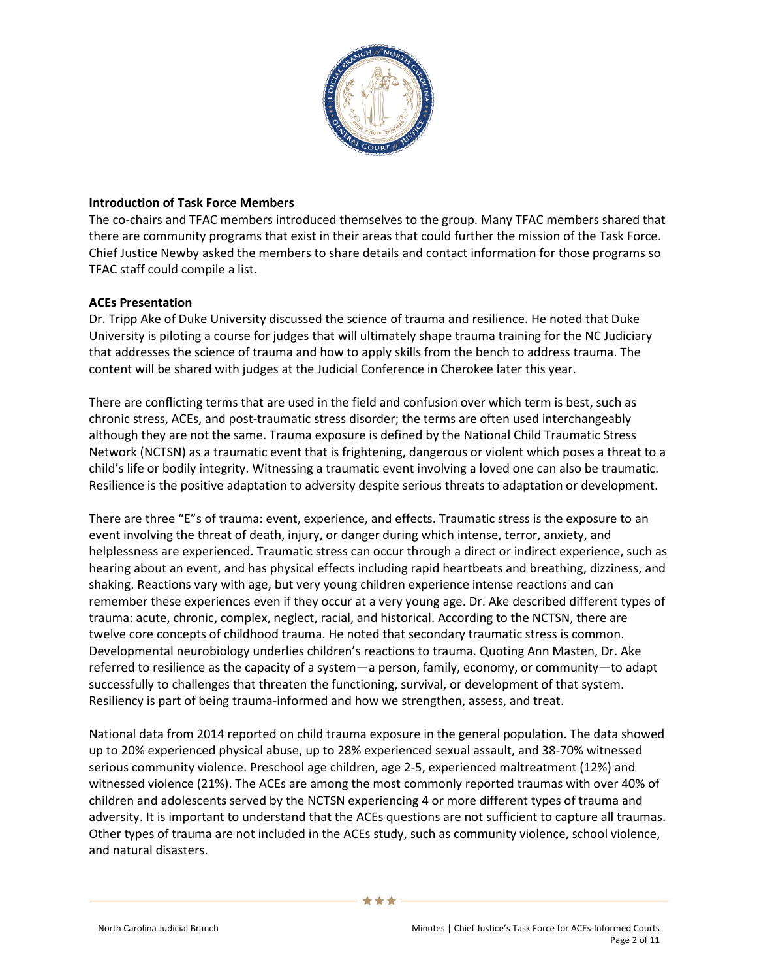

### **Introduction of Task Force Members**

The co-chairs and TFAC members introduced themselves to the group. Many TFAC members shared that there are community programs that exist in their areas that could further the mission of the Task Force. Chief Justice Newby asked the members to share details and contact information for those programs so TFAC staff could compile a list.

# **ACEs Presentation**

Dr. Tripp Ake of Duke University discussed the science of trauma and resilience. He noted that Duke University is piloting a course for judges that will ultimately shape trauma training for the NC Judiciary that addresses the science of trauma and how to apply skills from the bench to address trauma. The content will be shared with judges at the Judicial Conference in Cherokee later this year.

There are conflicting terms that are used in the field and confusion over which term is best, such as chronic stress, ACEs, and post-traumatic stress disorder; the terms are often used interchangeably although they are not the same. Trauma exposure is defined by the National Child Traumatic Stress Network (NCTSN) as a traumatic event that is frightening, dangerous or violent which poses a threat to a child's life or bodily integrity. Witnessing a traumatic event involving a loved one can also be traumatic. Resilience is the positive adaptation to adversity despite serious threats to adaptation or development.

There are three "E"s of trauma: event, experience, and effects. Traumatic stress is the exposure to an event involving the threat of death, injury, or danger during which intense, terror, anxiety, and helplessness are experienced. Traumatic stress can occur through a direct or indirect experience, such as hearing about an event, and has physical effects including rapid heartbeats and breathing, dizziness, and shaking. Reactions vary with age, but very young children experience intense reactions and can remember these experiences even if they occur at a very young age. Dr. Ake described different types of trauma: acute, chronic, complex, neglect, racial, and historical. According to the NCTSN, there are twelve core concepts of childhood trauma. He noted that secondary traumatic stress is common. Developmental neurobiology underlies children's reactions to trauma. Quoting Ann Masten, Dr. Ake referred to resilience as the capacity of a system—a person, family, economy, or community—to adapt successfully to challenges that threaten the functioning, survival, or development of that system. Resiliency is part of being trauma-informed and how we strengthen, assess, and treat.

National data from 2014 reported on child trauma exposure in the general population. The data showed up to 20% experienced physical abuse, up to 28% experienced sexual assault, and 38-70% witnessed serious community violence. Preschool age children, age 2-5, experienced maltreatment (12%) and witnessed violence (21%). The ACEs are among the most commonly reported traumas with over 40% of children and adolescents served by the NCTSN experiencing 4 or more different types of trauma and adversity. It is important to understand that the ACEs questions are not sufficient to capture all traumas. Other types of trauma are not included in the ACEs study, such as community violence, school violence, and natural disasters.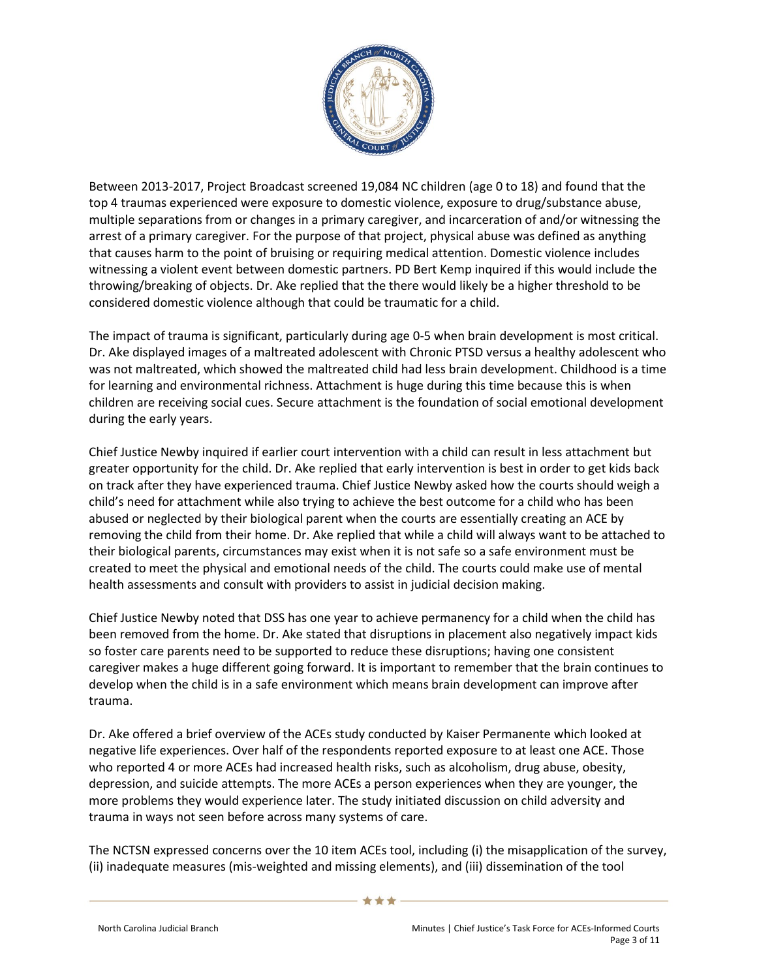

Between 2013-2017, Project Broadcast screened 19,084 NC children (age 0 to 18) and found that the top 4 traumas experienced were exposure to domestic violence, exposure to drug/substance abuse, multiple separations from or changes in a primary caregiver, and incarceration of and/or witnessing the arrest of a primary caregiver. For the purpose of that project, physical abuse was defined as anything that causes harm to the point of bruising or requiring medical attention. Domestic violence includes witnessing a violent event between domestic partners. PD Bert Kemp inquired if this would include the throwing/breaking of objects. Dr. Ake replied that the there would likely be a higher threshold to be considered domestic violence although that could be traumatic for a child.

The impact of trauma is significant, particularly during age 0-5 when brain development is most critical. Dr. Ake displayed images of a maltreated adolescent with Chronic PTSD versus a healthy adolescent who was not maltreated, which showed the maltreated child had less brain development. Childhood is a time for learning and environmental richness. Attachment is huge during this time because this is when children are receiving social cues. Secure attachment is the foundation of social emotional development during the early years.

Chief Justice Newby inquired if earlier court intervention with a child can result in less attachment but greater opportunity for the child. Dr. Ake replied that early intervention is best in order to get kids back on track after they have experienced trauma. Chief Justice Newby asked how the courts should weigh a child's need for attachment while also trying to achieve the best outcome for a child who has been abused or neglected by their biological parent when the courts are essentially creating an ACE by removing the child from their home. Dr. Ake replied that while a child will always want to be attached to their biological parents, circumstances may exist when it is not safe so a safe environment must be created to meet the physical and emotional needs of the child. The courts could make use of mental health assessments and consult with providers to assist in judicial decision making.

Chief Justice Newby noted that DSS has one year to achieve permanency for a child when the child has been removed from the home. Dr. Ake stated that disruptions in placement also negatively impact kids so foster care parents need to be supported to reduce these disruptions; having one consistent caregiver makes a huge different going forward. It is important to remember that the brain continues to develop when the child is in a safe environment which means brain development can improve after trauma.

Dr. Ake offered a brief overview of the ACEs study conducted by Kaiser Permanente which looked at negative life experiences. Over half of the respondents reported exposure to at least one ACE. Those who reported 4 or more ACEs had increased health risks, such as alcoholism, drug abuse, obesity, depression, and suicide attempts. The more ACEs a person experiences when they are younger, the more problems they would experience later. The study initiated discussion on child adversity and trauma in ways not seen before across many systems of care.

The NCTSN expressed concerns over the 10 item ACEs tool, including (i) the misapplication of the survey, (ii) inadequate measures (mis-weighted and missing elements), and (iii) dissemination of the tool

\*\*\*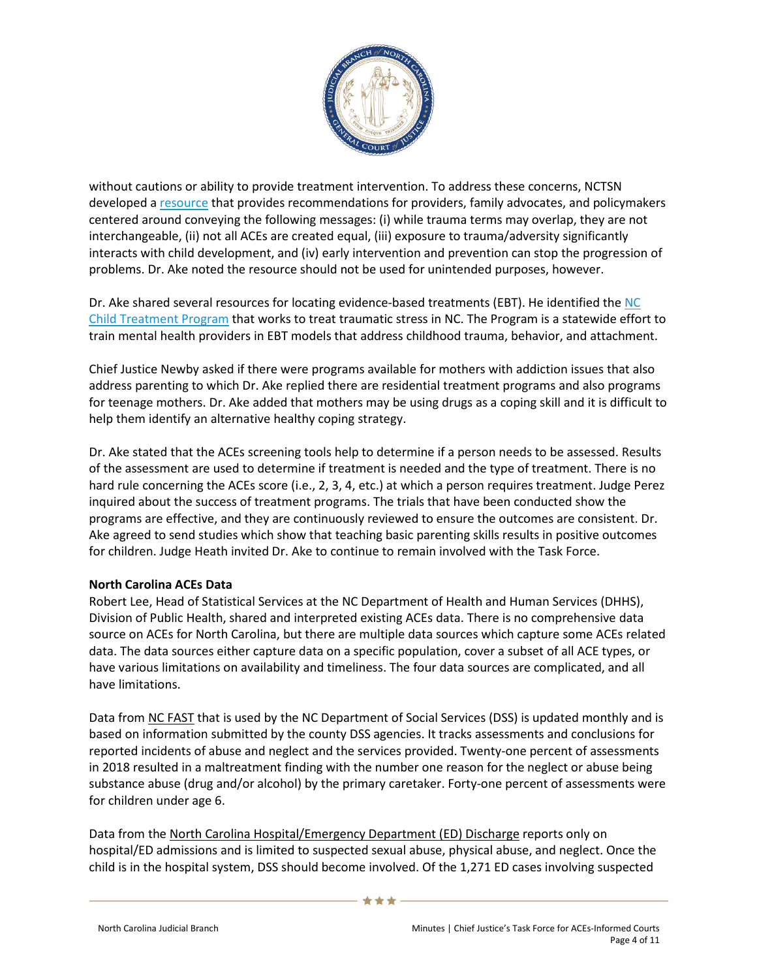

without cautions or ability to provide treatment intervention. To address these concerns, NCTSN developed a [resource](https://www.nctsn.org/resources/beyond-the-ace-score-perspectives-from-the-nctsn-on-child-trauma-and-adversity-screening-and-impact) that provides recommendations for providers, family advocates, and policymakers centered around conveying the following messages: (i) while trauma terms may overlap, they are not interchangeable, (ii) not all ACEs are created equal, (iii) exposure to trauma/adversity significantly interacts with child development, and (iv) early intervention and prevention can stop the progression of problems. Dr. Ake noted the resource should not be used for unintended purposes, however.

Dr. Ake shared several resources for locating evidence-based treatments (EBT). He identified the [NC](https://www.ncchildtreatmentprogram.org/)  [Child Treatment Program](https://www.ncchildtreatmentprogram.org/) that works to treat traumatic stress in NC. The Program is a statewide effort to train mental health providers in EBT models that address childhood trauma, behavior, and attachment.

Chief Justice Newby asked if there were programs available for mothers with addiction issues that also address parenting to which Dr. Ake replied there are residential treatment programs and also programs for teenage mothers. Dr. Ake added that mothers may be using drugs as a coping skill and it is difficult to help them identify an alternative healthy coping strategy.

Dr. Ake stated that the ACEs screening tools help to determine if a person needs to be assessed. Results of the assessment are used to determine if treatment is needed and the type of treatment. There is no hard rule concerning the ACEs score (i.e., 2, 3, 4, etc.) at which a person requires treatment. Judge Perez inquired about the success of treatment programs. The trials that have been conducted show the programs are effective, and they are continuously reviewed to ensure the outcomes are consistent. Dr. Ake agreed to send studies which show that teaching basic parenting skills results in positive outcomes for children. Judge Heath invited Dr. Ake to continue to remain involved with the Task Force.

#### **North Carolina ACEs Data**

Robert Lee, Head of Statistical Services at the NC Department of Health and Human Services (DHHS), Division of Public Health, shared and interpreted existing ACEs data. There is no comprehensive data source on ACEs for North Carolina, but there are multiple data sources which capture some ACEs related data. The data sources either capture data on a specific population, cover a subset of all ACE types, or have various limitations on availability and timeliness. The four data sources are complicated, and all have limitations.

Data from NC FAST that is used by the NC Department of Social Services (DSS) is updated monthly and is based on information submitted by the county DSS agencies. It tracks assessments and conclusions for reported incidents of abuse and neglect and the services provided. Twenty-one percent of assessments in 2018 resulted in a maltreatment finding with the number one reason for the neglect or abuse being substance abuse (drug and/or alcohol) by the primary caretaker. Forty-one percent of assessments were for children under age 6.

Data from the North Carolina Hospital/Emergency Department (ED) Discharge reports only on hospital/ED admissions and is limited to suspected sexual abuse, physical abuse, and neglect. Once the child is in the hospital system, DSS should become involved. Of the 1,271 ED cases involving suspected

\*\*\*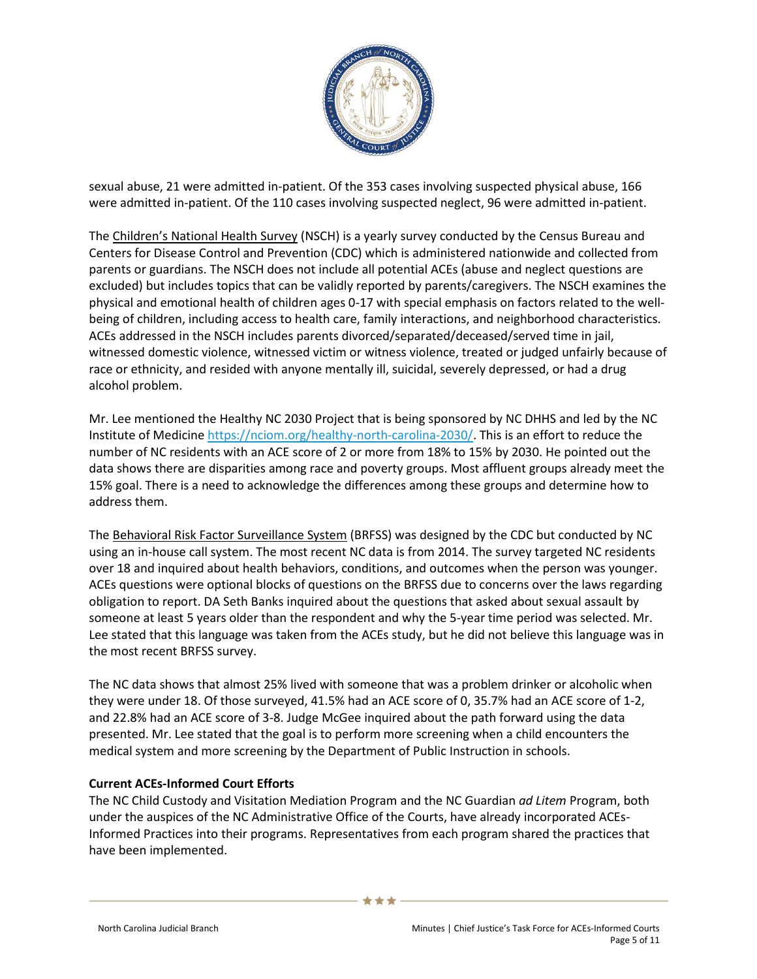

sexual abuse, 21 were admitted in-patient. Of the 353 cases involving suspected physical abuse, 166 were admitted in-patient. Of the 110 cases involving suspected neglect, 96 were admitted in-patient.

The Children's National Health Survey (NSCH) is a yearly survey conducted by the Census Bureau and Centers for Disease Control and Prevention (CDC) which is administered nationwide and collected from parents or guardians. The NSCH does not include all potential ACEs (abuse and neglect questions are excluded) but includes topics that can be validly reported by parents/caregivers. The NSCH examines the physical and emotional health of children ages 0-17 with special emphasis on factors related to the wellbeing of children, including access to health care, family interactions, and neighborhood characteristics. ACEs addressed in the NSCH includes parents divorced/separated/deceased/served time in jail, witnessed domestic violence, witnessed victim or witness violence, treated or judged unfairly because of race or ethnicity, and resided with anyone mentally ill, suicidal, severely depressed, or had a drug alcohol problem.

Mr. Lee mentioned the Healthy NC 2030 Project that is being sponsored by NC DHHS and led by the NC Institute of Medicine [https://nciom.org/healthy-north-carolina-2030/.](https://nciom.org/healthy-north-carolina-2030/) This is an effort to reduce the number of NC residents with an ACE score of 2 or more from 18% to 15% by 2030. He pointed out the data shows there are disparities among race and poverty groups. Most affluent groups already meet the 15% goal. There is a need to acknowledge the differences among these groups and determine how to address them.

The Behavioral Risk Factor Surveillance System (BRFSS) was designed by the CDC but conducted by NC using an in-house call system. The most recent NC data is from 2014. The survey targeted NC residents over 18 and inquired about health behaviors, conditions, and outcomes when the person was younger. ACEs questions were optional blocks of questions on the BRFSS due to concerns over the laws regarding obligation to report. DA Seth Banks inquired about the questions that asked about sexual assault by someone at least 5 years older than the respondent and why the 5-year time period was selected. Mr. Lee stated that this language was taken from the ACEs study, but he did not believe this language was in the most recent BRFSS survey.

The NC data shows that almost 25% lived with someone that was a problem drinker or alcoholic when they were under 18. Of those surveyed, 41.5% had an ACE score of 0, 35.7% had an ACE score of 1-2, and 22.8% had an ACE score of 3-8. Judge McGee inquired about the path forward using the data presented. Mr. Lee stated that the goal is to perform more screening when a child encounters the medical system and more screening by the Department of Public Instruction in schools.

#### **Current ACEs-Informed Court Efforts**

The NC Child Custody and Visitation Mediation Program and the NC Guardian *ad Litem* Program, both under the auspices of the NC Administrative Office of the Courts, have already incorporated ACEs-Informed Practices into their programs. Representatives from each program shared the practices that have been implemented.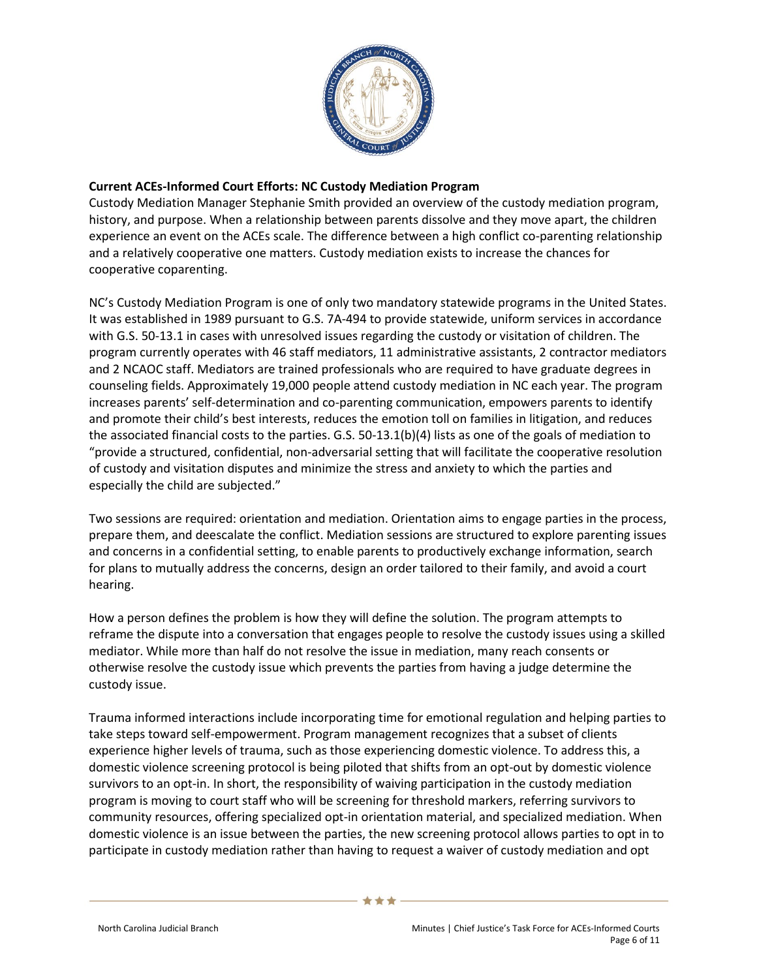

# **Current ACEs-Informed Court Efforts: NC Custody Mediation Program**

Custody Mediation Manager Stephanie Smith provided an overview of the custody mediation program, history, and purpose. When a relationship between parents dissolve and they move apart, the children experience an event on the ACEs scale. The difference between a high conflict co-parenting relationship and a relatively cooperative one matters. Custody mediation exists to increase the chances for cooperative coparenting.

NC's Custody Mediation Program is one of only two mandatory statewide programs in the United States. It was established in 1989 pursuant to G.S. 7A-494 to provide statewide, uniform services in accordance with G.S. 50-13.1 in cases with unresolved issues regarding the custody or visitation of children. The program currently operates with 46 staff mediators, 11 administrative assistants, 2 contractor mediators and 2 NCAOC staff. Mediators are trained professionals who are required to have graduate degrees in counseling fields. Approximately 19,000 people attend custody mediation in NC each year. The program increases parents' self-determination and co-parenting communication, empowers parents to identify and promote their child's best interests, reduces the emotion toll on families in litigation, and reduces the associated financial costs to the parties. G.S. 50-13.1(b)(4) lists as one of the goals of mediation to "provide a structured, confidential, non-adversarial setting that will facilitate the cooperative resolution of custody and visitation disputes and minimize the stress and anxiety to which the parties and especially the child are subjected."

Two sessions are required: orientation and mediation. Orientation aims to engage parties in the process, prepare them, and deescalate the conflict. Mediation sessions are structured to explore parenting issues and concerns in a confidential setting, to enable parents to productively exchange information, search for plans to mutually address the concerns, design an order tailored to their family, and avoid a court hearing.

How a person defines the problem is how they will define the solution. The program attempts to reframe the dispute into a conversation that engages people to resolve the custody issues using a skilled mediator. While more than half do not resolve the issue in mediation, many reach consents or otherwise resolve the custody issue which prevents the parties from having a judge determine the custody issue.

Trauma informed interactions include incorporating time for emotional regulation and helping parties to take steps toward self-empowerment. Program management recognizes that a subset of clients experience higher levels of trauma, such as those experiencing domestic violence. To address this, a domestic violence screening protocol is being piloted that shifts from an opt-out by domestic violence survivors to an opt-in. In short, the responsibility of waiving participation in the custody mediation program is moving to court staff who will be screening for threshold markers, referring survivors to community resources, offering specialized opt-in orientation material, and specialized mediation. When domestic violence is an issue between the parties, the new screening protocol allows parties to opt in to participate in custody mediation rather than having to request a waiver of custody mediation and opt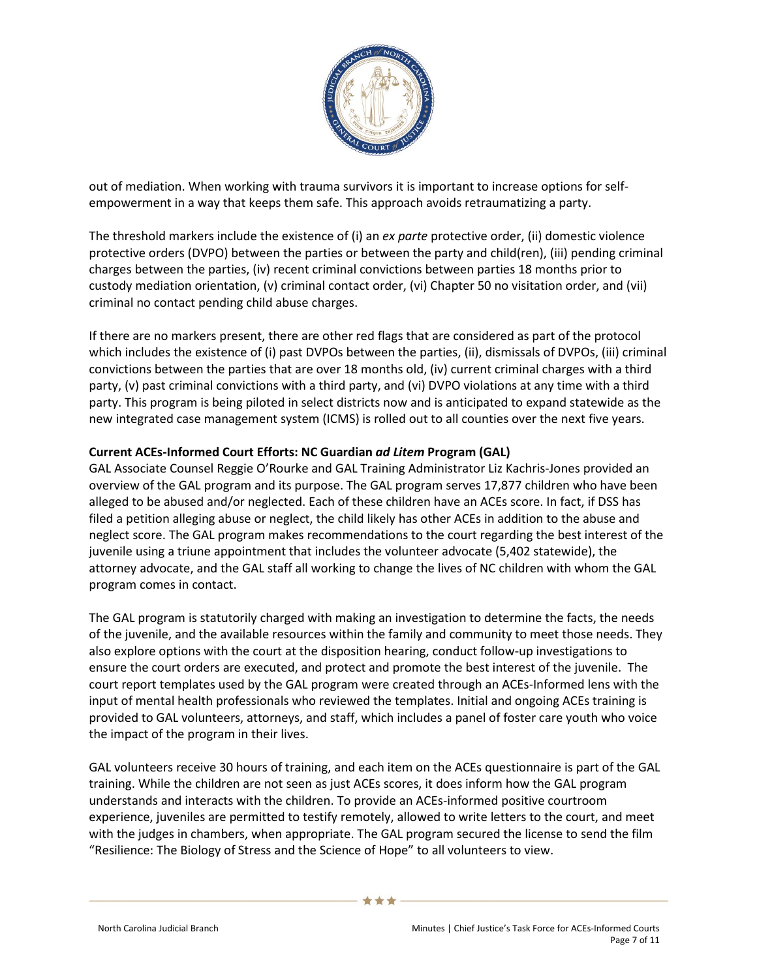

out of mediation. When working with trauma survivors it is important to increase options for selfempowerment in a way that keeps them safe. This approach avoids retraumatizing a party.

The threshold markers include the existence of (i) an *ex parte* protective order, (ii) domestic violence protective orders (DVPO) between the parties or between the party and child(ren), (iii) pending criminal charges between the parties, (iv) recent criminal convictions between parties 18 months prior to custody mediation orientation, (v) criminal contact order, (vi) Chapter 50 no visitation order, and (vii) criminal no contact pending child abuse charges.

If there are no markers present, there are other red flags that are considered as part of the protocol which includes the existence of (i) past DVPOs between the parties, (ii), dismissals of DVPOs, (iii) criminal convictions between the parties that are over 18 months old, (iv) current criminal charges with a third party, (v) past criminal convictions with a third party, and (vi) DVPO violations at any time with a third party. This program is being piloted in select districts now and is anticipated to expand statewide as the new integrated case management system (ICMS) is rolled out to all counties over the next five years.

# **Current ACEs-Informed Court Efforts: NC Guardian** *ad Litem* **Program (GAL)**

GAL Associate Counsel Reggie O'Rourke and GAL Training Administrator Liz Kachris-Jones provided an overview of the GAL program and its purpose. The GAL program serves 17,877 children who have been alleged to be abused and/or neglected. Each of these children have an ACEs score. In fact, if DSS has filed a petition alleging abuse or neglect, the child likely has other ACEs in addition to the abuse and neglect score. The GAL program makes recommendations to the court regarding the best interest of the juvenile using a triune appointment that includes the volunteer advocate (5,402 statewide), the attorney advocate, and the GAL staff all working to change the lives of NC children with whom the GAL program comes in contact.

The GAL program is statutorily charged with making an investigation to determine the facts, the needs of the juvenile, and the available resources within the family and community to meet those needs. They also explore options with the court at the disposition hearing, conduct follow-up investigations to ensure the court orders are executed, and protect and promote the best interest of the juvenile. The court report templates used by the GAL program were created through an ACEs-Informed lens with the input of mental health professionals who reviewed the templates. Initial and ongoing ACEs training is provided to GAL volunteers, attorneys, and staff, which includes a panel of foster care youth who voice the impact of the program in their lives.

GAL volunteers receive 30 hours of training, and each item on the ACEs questionnaire is part of the GAL training. While the children are not seen as just ACEs scores, it does inform how the GAL program understands and interacts with the children. To provide an ACEs-informed positive courtroom experience, juveniles are permitted to testify remotely, allowed to write letters to the court, and meet with the judges in chambers, when appropriate. The GAL program secured the license to send the film "Resilience: The Biology of Stress and the Science of Hope" to all volunteers to view.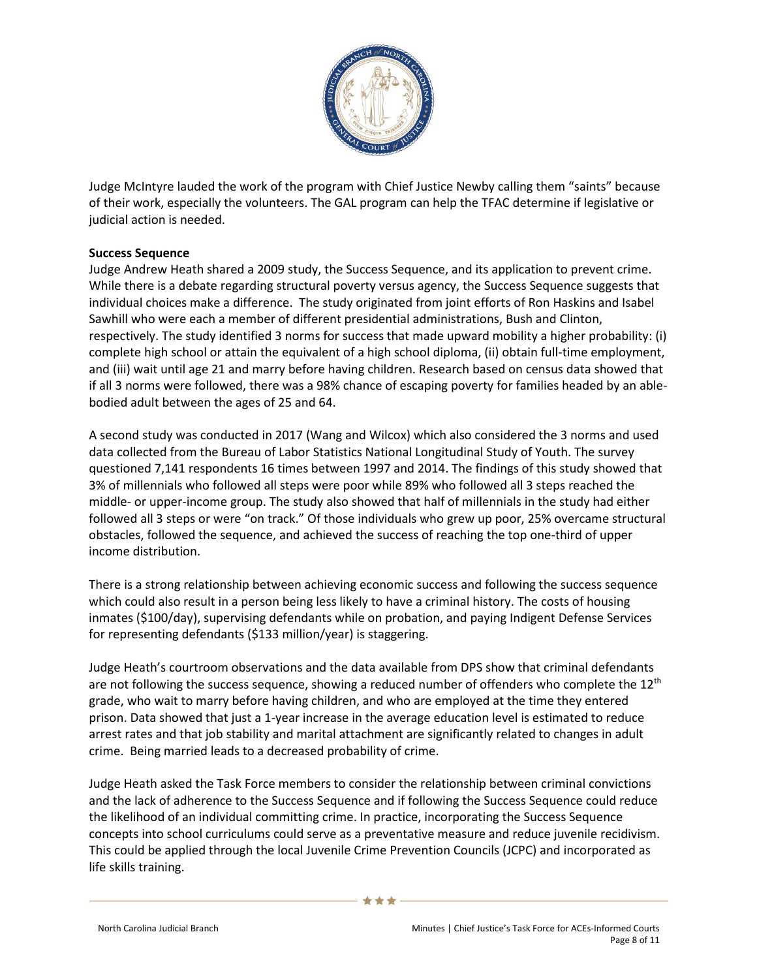

Judge McIntyre lauded the work of the program with Chief Justice Newby calling them "saints" because of their work, especially the volunteers. The GAL program can help the TFAC determine if legislative or judicial action is needed.

### **Success Sequence**

Judge Andrew Heath shared a 2009 study, the Success Sequence, and its application to prevent crime. While there is a debate regarding structural poverty versus agency, the Success Sequence suggests that individual choices make a difference. The study originated from joint efforts of Ron Haskins and Isabel Sawhill who were each a member of different presidential administrations, Bush and Clinton, respectively. The study identified 3 norms for success that made upward mobility a higher probability: (i) complete high school or attain the equivalent of a high school diploma, (ii) obtain full-time employment, and (iii) wait until age 21 and marry before having children. Research based on census data showed that if all 3 norms were followed, there was a 98% chance of escaping poverty for families headed by an ablebodied adult between the ages of 25 and 64.

A second study was conducted in 2017 (Wang and Wilcox) which also considered the 3 norms and used data collected from the Bureau of Labor Statistics National Longitudinal Study of Youth. The survey questioned 7,141 respondents 16 times between 1997 and 2014. The findings of this study showed that 3% of millennials who followed all steps were poor while 89% who followed all 3 steps reached the middle- or upper-income group. The study also showed that half of millennials in the study had either followed all 3 steps or were "on track." Of those individuals who grew up poor, 25% overcame structural obstacles, followed the sequence, and achieved the success of reaching the top one-third of upper income distribution.

There is a strong relationship between achieving economic success and following the success sequence which could also result in a person being less likely to have a criminal history. The costs of housing inmates (\$100/day), supervising defendants while on probation, and paying Indigent Defense Services for representing defendants (\$133 million/year) is staggering.

Judge Heath's courtroom observations and the data available from DPS show that criminal defendants are not following the success sequence, showing a reduced number of offenders who complete the  $12<sup>th</sup>$ grade, who wait to marry before having children, and who are employed at the time they entered prison. Data showed that just a 1-year increase in the average education level is estimated to reduce arrest rates and that job stability and marital attachment are significantly related to changes in adult crime. Being married leads to a decreased probability of crime.

Judge Heath asked the Task Force members to consider the relationship between criminal convictions and the lack of adherence to the Success Sequence and if following the Success Sequence could reduce the likelihood of an individual committing crime. In practice, incorporating the Success Sequence concepts into school curriculums could serve as a preventative measure and reduce juvenile recidivism. This could be applied through the local Juvenile Crime Prevention Councils (JCPC) and incorporated as life skills training.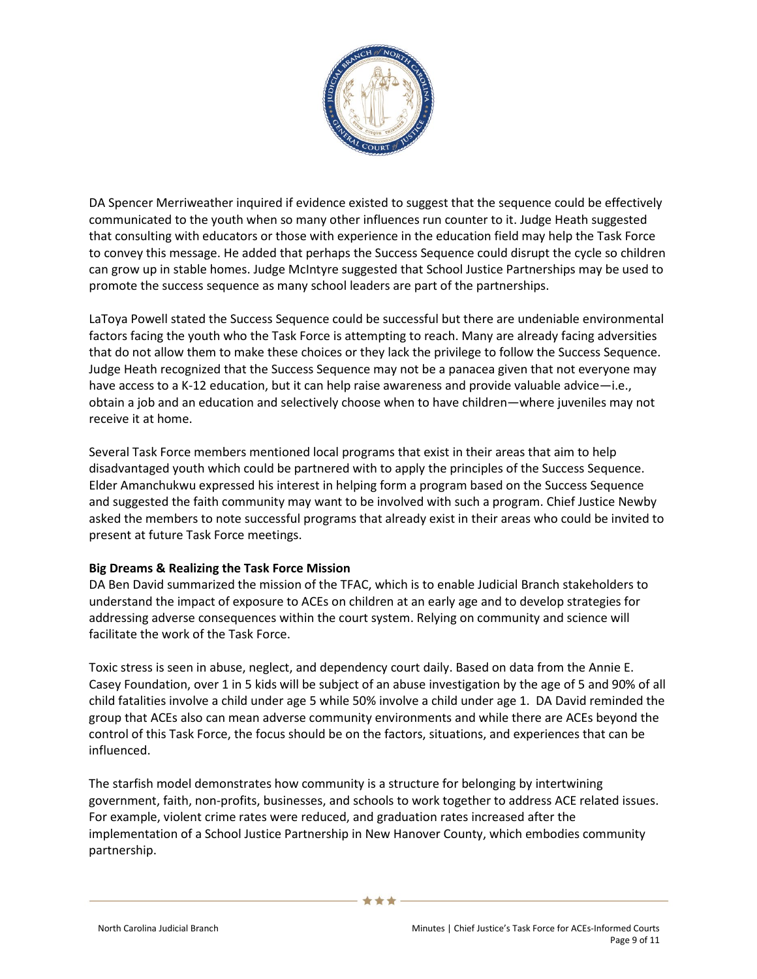

DA Spencer Merriweather inquired if evidence existed to suggest that the sequence could be effectively communicated to the youth when so many other influences run counter to it. Judge Heath suggested that consulting with educators or those with experience in the education field may help the Task Force to convey this message. He added that perhaps the Success Sequence could disrupt the cycle so children can grow up in stable homes. Judge McIntyre suggested that School Justice Partnerships may be used to promote the success sequence as many school leaders are part of the partnerships.

LaToya Powell stated the Success Sequence could be successful but there are undeniable environmental factors facing the youth who the Task Force is attempting to reach. Many are already facing adversities that do not allow them to make these choices or they lack the privilege to follow the Success Sequence. Judge Heath recognized that the Success Sequence may not be a panacea given that not everyone may have access to a K-12 education, but it can help raise awareness and provide valuable advice-i.e., obtain a job and an education and selectively choose when to have children—where juveniles may not receive it at home.

Several Task Force members mentioned local programs that exist in their areas that aim to help disadvantaged youth which could be partnered with to apply the principles of the Success Sequence. Elder Amanchukwu expressed his interest in helping form a program based on the Success Sequence and suggested the faith community may want to be involved with such a program. Chief Justice Newby asked the members to note successful programs that already exist in their areas who could be invited to present at future Task Force meetings.

#### **Big Dreams & Realizing the Task Force Mission**

DA Ben David summarized the mission of the TFAC, which is to enable Judicial Branch stakeholders to understand the impact of exposure to ACEs on children at an early age and to develop strategies for addressing adverse consequences within the court system. Relying on community and science will facilitate the work of the Task Force.

Toxic stress is seen in abuse, neglect, and dependency court daily. Based on data from the Annie E. Casey Foundation, over 1 in 5 kids will be subject of an abuse investigation by the age of 5 and 90% of all child fatalities involve a child under age 5 while 50% involve a child under age 1. DA David reminded the group that ACEs also can mean adverse community environments and while there are ACEs beyond the control of this Task Force, the focus should be on the factors, situations, and experiences that can be influenced.

The starfish model demonstrates how community is a structure for belonging by intertwining government, faith, non-profits, businesses, and schools to work together to address ACE related issues. For example, violent crime rates were reduced, and graduation rates increased after the implementation of a School Justice Partnership in New Hanover County, which embodies community partnership.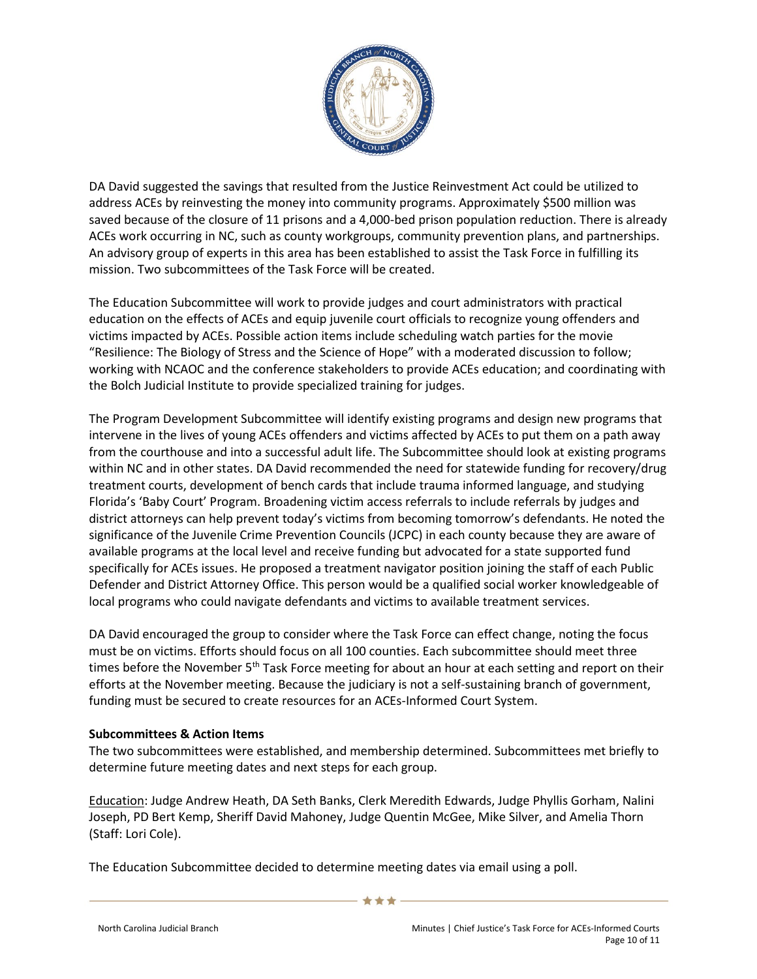

DA David suggested the savings that resulted from the Justice Reinvestment Act could be utilized to address ACEs by reinvesting the money into community programs. Approximately \$500 million was saved because of the closure of 11 prisons and a 4,000-bed prison population reduction. There is already ACEs work occurring in NC, such as county workgroups, community prevention plans, and partnerships. An advisory group of experts in this area has been established to assist the Task Force in fulfilling its mission. Two subcommittees of the Task Force will be created.

The Education Subcommittee will work to provide judges and court administrators with practical education on the effects of ACEs and equip juvenile court officials to recognize young offenders and victims impacted by ACEs. Possible action items include scheduling watch parties for the movie "Resilience: The Biology of Stress and the Science of Hope" with a moderated discussion to follow; working with NCAOC and the conference stakeholders to provide ACEs education; and coordinating with the Bolch Judicial Institute to provide specialized training for judges.

The Program Development Subcommittee will identify existing programs and design new programs that intervene in the lives of young ACEs offenders and victims affected by ACEs to put them on a path away from the courthouse and into a successful adult life. The Subcommittee should look at existing programs within NC and in other states. DA David recommended the need for statewide funding for recovery/drug treatment courts, development of bench cards that include trauma informed language, and studying Florida's 'Baby Court' Program. Broadening victim access referrals to include referrals by judges and district attorneys can help prevent today's victims from becoming tomorrow's defendants. He noted the significance of the Juvenile Crime Prevention Councils (JCPC) in each county because they are aware of available programs at the local level and receive funding but advocated for a state supported fund specifically for ACEs issues. He proposed a treatment navigator position joining the staff of each Public Defender and District Attorney Office. This person would be a qualified social worker knowledgeable of local programs who could navigate defendants and victims to available treatment services.

DA David encouraged the group to consider where the Task Force can effect change, noting the focus must be on victims. Efforts should focus on all 100 counties. Each subcommittee should meet three times before the November 5<sup>th</sup> Task Force meeting for about an hour at each setting and report on their efforts at the November meeting. Because the judiciary is not a self-sustaining branch of government, funding must be secured to create resources for an ACEs-Informed Court System.

#### **Subcommittees & Action Items**

The two subcommittees were established, and membership determined. Subcommittees met briefly to determine future meeting dates and next steps for each group.

Education: Judge Andrew Heath, DA Seth Banks, Clerk Meredith Edwards, Judge Phyllis Gorham, Nalini Joseph, PD Bert Kemp, Sheriff David Mahoney, Judge Quentin McGee, Mike Silver, and Amelia Thorn (Staff: Lori Cole).

The Education Subcommittee decided to determine meeting dates via email using a poll.